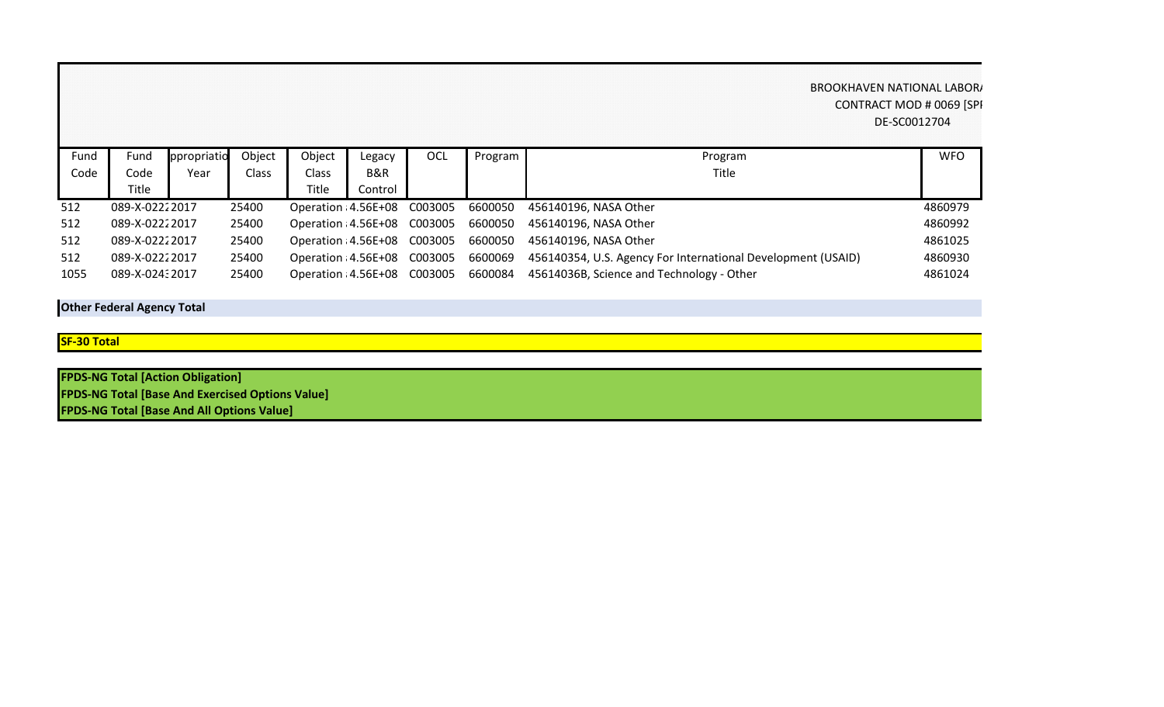## BROOKHAVEN NATIONAL LABOR/ CONTRACT MOD # 0069 [SPI DE-SC0012704

| Fund | Fund           | ppropriatio | Object | Object                       | Legacy  | <b>OCL</b> | Program | Program                                                      | <b>WFO</b> |
|------|----------------|-------------|--------|------------------------------|---------|------------|---------|--------------------------------------------------------------|------------|
| Code | Code           | Year        | Class  | Class                        | B&R     |            |         | <b>Title</b>                                                 |            |
|      | Title          |             |        | Title                        | Control |            |         |                                                              |            |
| 512  | 089-X-02222017 |             | 25400  | Operation: 4.56E+08 C003005  |         |            | 6600050 | 456140196, NASA Other                                        | 4860979    |
| 512  | 089-X-02222017 |             | 25400  | Operation: 4.56E+08 C003005  |         |            | 6600050 | 456140196, NASA Other                                        | 4860992    |
| 512  | 089-X-02222017 |             | 25400  | Operation: 4.56E+08 C003005  |         |            | 6600050 | 456140196, NASA Other                                        | 4861025    |
| 512  | 089-X-02222017 |             | 25400  | Operation : 4.56E+08 C003005 |         |            | 6600069 | 456140354, U.S. Agency For International Development (USAID) | 4860930    |
| 1055 | 089-X-02432017 |             | 25400  | Operation: 4.56E+08 C003005  |         |            | 6600084 | 45614036B, Science and Technology - Other                    | 4861024    |

**Other Federal Agency Total**

**SF-30 Total**

| <b>FPDS-NG Total [Action Obligation]</b>                |  |
|---------------------------------------------------------|--|
| <b>FPDS-NG Total [Base And Exercised Options Value]</b> |  |
| <b>FPDS-NG Total [Base And All Options Value]</b>       |  |